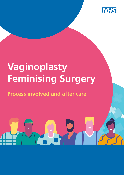

# **Vaginoplasty Feminising Surgery**

# **Process involved and after care**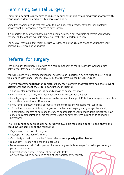## Feminising Genital Surgery

Feminising genital surgery aims to reduce gender dysphoria by aligning your anatomy with your gender identity and identity expression goals.

Some transwomen decide that they want to have surgery to permanently alter their anatomy, however not all transwomen choose to have surgery.

It is important to be aware that feminising genital surgery is not reversible, therefore you need to consider all the options available before you make this important decision.

The surgical technique that might be used will depend on the size and shape of your body, your personal preference and your goals.

# Referral for surgery

Feminising genital surgery is provided as a core component of the NHS gender dysphoria care pathway for transfeminine individuals.

You will require two recommendations for surgery to be undertaken by two responsible clinicians from a specialist Gender Identity Clinic (GIC) that is commissioned by NHS England.

#### The two recommendations for genital surgery must confirm that you have had the relevant assessments and meet the criteria for surgery, including:

- a documented persistent and insistent diagnosis of gender dysphoria
- the ability to make a fully informed decision and to consent for treatment
- be at legal age of majority; the referral can be made at the age of 17 but for a surgery to take place in the UK you must to be 18 or above
- if you have significant medical or mental health concerns, they must be well controlled
- 12 continuous months of living in a gender role that is in-keeping with your gender identity
- 12 continuous months of hormone therapy as appropriate to your gender goals (unless you have a medical contraindication or are otherwise unable or have concerns in relation to taking the hormones)

#### The NHS funded feminising genital surgery is available for people aged 18 and above and could include some or all the following:

- Vaginoplasty– creation of a vagina
- Clitoroplasty creation of a clitoris
- Vulvoplasty creation of a vulva (please refer to **Vulvoplasty patient leaflet**)
- Labiaplasty creation of inner and outer labia
- Penectomy removal of all or part of the penis only available when performed as part of vagino plasty or vulvoplasty
- Bilateral Orchidectomy removal of one or both testes only available when performed as part of vaginoplasty or vulvoplasty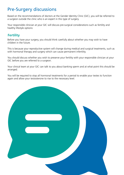### Pre-Surgery discussions

Based on the recommendations of doctors at the Gender Identity Clinic (GIC), you will be referred to a surgeon outside the clinic who is an expert in this type of surgery.

Your responsible clinician at your GIC will discuss pre-surgical considerations such as fertility and healthy lifestyle options:

#### **Fertility**

Before you have your surgery, you should think carefully about whether you may wish to have children in the future.

This is because your reproductive system will change during medical and surgical treatments, such as with hormonal therapy and surgery which can cause permanent infertility.

You should discuss whether you wish to preserve your fertility with your responsible clinician at your GIC before you are referred to a surgeon.

Your clinical team at your GIC can talk to you about banking sperm and at what point this should be arranged.

You will be required to stop all hormonal treatments for a period to enable your testes to function again and allow your testosterone to rise to the necessary level.

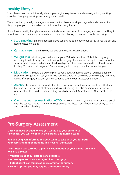#### **Healthy lifestyle**

Your clinical team will additionally discuss pre-surgical requirements such as weight loss, smoking cessation (stopping smoking) and your general health.

We advise that you tell your surgeon of any specific physical work you regularly undertake so that they can give you the best advice possible about recovery times.

If you have a healthy lifestyle you are more likely to recover better from surgery and are more likely to have fewer complications, you should aim to be as healthy as you can by doing the following:

- Stop smoking: Smoking reduces blood supply and can reduce your ability to heal, it can also lead to chest infections.
- **Cannabis use:** Should also be avoided due to its estrogenic effect.
- Weight loss: Most surgeons will require your BMI to be less than 30 but this may vary according to which surgeon is performing the surgery, if you are overweight this can make the surgery more complicated and may lead to a higher risk of complications like delayed wound healing. You can speak to your GP about a weight loss programme that is safe for you.
- Medications: Follow the advice given to you about what medications you should take or stop. Most surgeons will ask you to stop your oestradiol for six weeks before surgery and three weeks after surgery, however you will continue taking your testosterone blocker.
- Alcohol: Be honest with your doctor about how much you drink, as alcohol can affect your liver and have an impact of bleeding and wound healing. It is also an important factor for Anaesthetists to consider when deciding on which General Anaesthesia (GA) medications to use.
- **Over the counter medication (OTC):** tell your surgeon if you are taking any additional over the counter tablets, vitamins or supplements. As these may influence your ability to heal and may affect bleeding.

### Pre-Surgery Assessment

**Once you have decided where you would like your surgery to take place, you will meet with the surgical and nursing team.** 

**You will be given information about what to take with you for both your assessment appointments and hospital admission.**

**The surgeon will carry out a physical examination of your genital area and will also discuss:**

- **Various types of surgical options available.**
- **Advantages and disadvantages of each surgery.**
- **Potential risks or complications related to the surgery.**
- **Follow up care you may require after your surgery.**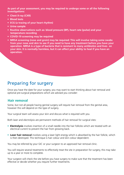**As part of your assessment, you may be required to undergo some or all the following investigations:** 

- **Chest X-ray (CXR)**
- **Blood tests**
- **ECG (a tracing of your heart rhythm)**
- **Urine sample**
- **Routine observations such as: blood pressure (BP), heart rate (pulse) and your temperature recording**
- **COVID-19 screening may be required**
- **MRSA screening (nose and groin) may be required: This will involve taking some swabs from your nose and skin to see if you need to have any treatment before you have your operation. MRSA is a type of bacteria that is resistant to many antibiotics and lives on your skin. It is normally harmless, but it can affect your ability to heal if you have an operation.**

### Preparing for surgery

Once you have the date for your surgery, you may want to start thinking about hair removal and optional pre-surgical preparations which are advised you consider:

#### **Hair removal**

Some, but not all people having genital surgery will require hair removal from the genital area, however this will depend on the type of surgery.

Your surgical team will assess your skin and discuss what is required with you.

Both laser and electrolysis are permanent methods of hair removal for surgical sites:

- **Electrolysis** involves insertion of a small needle into the hair follicles which are treated with an electrical current to prevent the hair from growing back.
- **Laser hair removal** involves using a laser light energy which is absorbed by the hair follicle, which is then destroyed. This technique is hair colour and skin colour dependent.

You may be referred by your GIC or your surgeon to an approved hair removal clinic.

You will require several treatments to effectively treat the site in preparation for surgery, this may take up to a year or more to complete.

Your surgeon will check the site before you have surgery to make sure that the treatment has been effective or decide whether you require further treatments.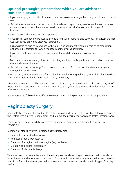#### **Optional pre-surgical preparations which you are advised to consider in advance:**

- If you are employed, you should speak to your employer to arrange the time you will need to be off work.
- You will need time to recover and this will vary depending on the type of operation you have; you may want to arrange to have someone with you for a period after you are discharged from hospital.
- Stock up your fridge, freezer and cupboards.
- Organise for someone to be available to help (e.g. with shopping and cooking) for at least the first two weeks you are home after your operation.
- It is advisable to discuss in advance with your GP or pharmacist regarding pain relief medication options, in preparation for when you return home after your surgery.
- If you have pets, ask someone to take care of them while you are in hospital and once you are at home.
- Make sure you have enough toiletries (including sanitary towels, panty liners and baby wipes) and clean underwear at home.
- You will also need to arrange for someone to collect you from the hospital after your surgery or arrange transport home.
- Make sure you have some loose-fitting clothing to take to hospital with you as tight clothing will be uncomfortable in the first few weeks after your surgery.

After your surgery you will be advised about activities that you should avoid such as certain types of exercise, driving and intimacy. It is generally advised that you avoid these activities for about six weeks after your operation.

It is important to follow the specific advice your surgeon has given you to avoid complications.

# Vaginoplasty Surgery

Vaginoplasty is a surgical procedure to create a vagina and vulva - including labia, clitoris and shorten the urethra (the tube you urinate from) and remove the penis (penectomy) and testes (orchidectomy).

The surgery will be done whilst you are asleep under general anaesthetic and this surgery is irreversible.

Summary of stages involved in vaginoplasty surgery are:

- Removal of testes (orchiectomy)
- Removal of penis (penectomy)
- Creation of a vaginal cavity/neovagina (vaginoplasty)
- Creation of a clitoris (clitoroplasty)
- Creation of labia (labiaplasty)

When forming the vagina there are different approaches depending on how much skin is available from the penis and scrotal areas. In order to form a vagina of suitable length and width and prevent scar tissue formation the surgeon will examine your genital area to decide on which type of surgery to perform.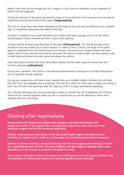Rarely, there may not be enough skin for a vagina, in such cases an operation using a segment of bowel may be suggested.

During the removal of the penis and testicles, flaps of tissue and skin from the penis and are used to create the entrance and lining of the vagina **(Vaginoplasty).**

This skin or tissue flaps may remain attached to the body at one end and are referred to as a 'pedicle flap' or completely separated and called a 'free flap'.

A pocket is created in your pelvis between your urethra and back passage (anus) and the newly formed vagina is then inserted and held in place with packing.

A clitoris will be formed using the head of the penis **(Clitoroplasty)**. This should provide sexual sensation and may enable you to reach orgasm. In order to form a clitoris, the head of the penis (glans) is separated from the erectile tissue and remains connected to its original blood and nerve supply. Most of your erectile tissue will be removed. The glans is made smaller and then placed under a small hood just below the pubic bone and above the urethra.

Inner labia (labia minora) and outer labia (labia majora) will be made using the tissue from your scrotum and penis **(Labiaplasty)**.

During your operation, the urethra is shorted and repositioned to allow you to urinate sitting down and to resemble female anatomy.

During your surgery you will have a tube inserted into your bladder called a catheter, this will drain the urine from your bladder into a small bag. This will be in place for a few days to allow your body to heal. You will also have packing inside the vagina to hold it in place and prevent bleeding.

You will have dressings and wound coverings in place to prevent the risk of bleeding and infection. These will be checked regularly while you are in hospital and you will be advised on what care is required after your discharge.

### Dilating after vaginoplasty

**Transwomen will need to use dilator after surgery to prevent shrinking to the length and width of the vagina This normally starts about five days after you have had your surgery and will be necessary long term.** 

**Dilation helps prevent contraction of the skin graft inside vagina and improves the elasticity of vaginal wall in order to comfortably accommodate penetrative intercourse.**

**Dilation involves inserting a lubricated dilator into the neo-vagina and keeping it in there for a specified amount of time. The size of dilator and the length of dilation time varies depending on the surgeon's protocol and patient's needs.** 

**Your surgeon will advise about the proper use and frequency of post-surgery dilation and it's important to follow their advice as it may be specific to your recovery.**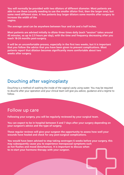**You will normally be provided with two dilators of different diameter. Most patients are able to use these (usually needing to use the smaller dilator first, then the larger one), but some need different sizes. A few patients buy larger dilators some months after surgery to increase the width of the vagina.**

**The average canal can be anywhere between four and six and a half inches.** 

**Most patients are advised initially to dilate three times daily (each "session" takes around 45 minutes, so up to 2.5 hours per day), with the time and frequency decreasing after you reach 18-24 months post-surgery.** 

**It will be an uncomfortable process, especially in the first two weeks, but it is important that you follow the advice that you have been given to prevent complications. Most patients report that dilation becomes significantly more comfortable about two weeks after surgery.**

#### Douching after vaginoplasty

Douching is a method of washing the inside of the vaginal cavity using water. You may be required to douche after your operation and your clinical team will give you advice, guidance and a regime to follow.

#### Follow up care

Į

**Following your surgery, you will be regularly reviewed by your surgical team.**

**You can expect to be in hospital between 5 and 7 days after your surgery depending on your surgeon's advice and the type of surgery.** 

**These regular reviews will give your surgeon the opportunity to assess how well your wounds have healed and check for any post-surgical complications.**

**You would have been advised to stop taking oestrogen 6 weeks before your surgery, this may subsequently cause you to experience menopausal symptoms such as hot flushes and mood disturbances. It is important to discuss when to re-start your hormone therapy with your surgeon.**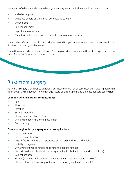Regardless of where you choose to have your surgery, your surgical team will provide you with:

- A discharge plan
- What you should or should not do following surgery
- Wound care
- Pain management
- Expected recovery times
- Clear instructions on what to do should you have any concerns

You may be referred to the district nursing team or GP if you require wound care or treatment in the first few days after your discharge.

You will remain under your surgical team for one year, after which you will be discharged back to the care of your GP for ongoing continuing care.

### Risks from surgery

As with all surgery that involves general anaesthetic there is risk of complications including deep vein thrombosis (DVT), infection, nerve damage, acute or chronic pain, and the need for surgical revision.

#### **Common general surgical complications:**

- Pain
- Blood clots
- **Infection**
- Sutures rupturing
- Urinary tract infections (UTIs)
- Urinary retention (unable to pass urine)
- Poor scarring

#### **Common vaginoplasty surgery related complications:**

- Loss of sensation
- Loss of sexual function
- Dissatisfaction with visual appearance of the vagina, clitoris and/or labia
- Inability to orgasm
- Urinary incontinence (unable to control the need to urinate)
- Necrosis to skin or clitoris (tissue dying resulting in blackening of the skin or Clitoris)
- Vaginal prolapse
- Fistula: (an unwanted connection between the vagina and urethra or bowel)
- Urethral stenosis: (narrowing of the urethra, making it difficult to urinate)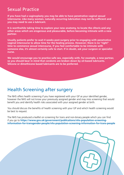### Sexual Practice

**If you have had a vaginoplasty you may be able to have penetrative vaginal sexual intercourse. Like many women, naturally occurring lubrication may not be sufficient and you may need to use a lubricant.**

**It is worthwhile taking time to explore your new anatomy, to locate the clitoris and any other areas which are erogenous and pleasurable, before becoming intimate with a new partner.**

**Usually patients prefer to wait 4 weeks post-surgery prior to engaging with penetrative vaginal intercourse to allow time for the healing process. However; there is no "right" time to commence sexual intercourse, if you feel comfortable to be intimate with someone else, it's almost certainly safe to start. If in doubt, ask your surgeon or specialist nurse.**

**We would encourage you to practice safe sex, especially with, for example, a new partner, so you should bear in mind that condoms are broken down by oil-based lubricants. Silicone or dimethicone based lubricants are to be preferred.**

### Health Screening after surgery

The NHS offers health screening if you have registered with your GP as your identified gender, however the NHS will not know your previously assigned gender and may miss screening that would benefit you and identify health risks associated with your assigned gender at birth.

You should discuss the benefits of health screening with your GP and which health screening would be best to request.

The NHS has produced a leaflet on screening for trans and non-binary people which you can find if you go to **https://www.gov.uk/government/publications/nhs-population-screeninginformation-for-transgender-people/nhs-population-screening-information-for-trans-people**

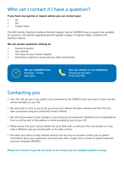### Who can I contact if I have a question?

#### **If you have any queries or require advice you can contact your:**

- GP
- GIC
- Surgical team

The NHS Gender Dysphoria National Referral Support Service (GDNRSS) have a support line available for questions and queries regarding specialist gender surgery in England, Wales, Scotland and Northern Ireland.

#### **We can answer questions relating to:**

- General enquiries
- Your referral
- The status of your chosen hospital
- Information relating to travel and any other practicalities

![](_page_10_Picture_11.jpeg)

**We are available from:** Monday – Friday 9am-5pm

![](_page_10_Figure_13.jpeg)

**You can contact us via telephone:** Telephone Number – 01522 857799

### Contacting you

- Your GIC will ask you if you prefer to be contacted by the GDNRSS team via email or letter and this will be recorded on your file.
- We will email or write to you to let you know your referral has been received and how this has been processed using your preferred contact method.
- We will not be aware of any changes in your personal circumstances, therefore any correspondence from us will be sent to the address or email provided by you to your GIC.
- Please ensure that your contact details are up to date with us and your GIC and contact us if you have a different way you would prefer us to make contact.
- We value your views to help improve services and we may on occasion contact you to gather information about your experience and outcomes after surgery, this is known as patient reported outcome measures (PROMS).

**Please let us know if you do not want us to contact you to complete patient surveys.**